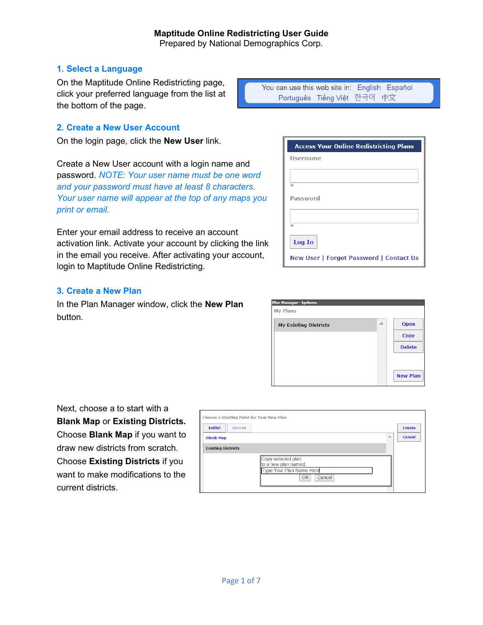# Prepared by National Demographics Corp.

#### 1. Select a Language

On the Maptitude Online Redistricting page, click your preferred language from the list at the bottom of the page.

You can use this web site in: English Español Português Tiếng Việt 한국어 中文

#### 2. Create a New User Account

On the login page, click the New User link.

Create a New User account with a login name and password. NOTE: Your user name must be one word and your password must have at least 8 characters. Your user name will appear at the top of any maps you print or email.

Enter your email address to receive an account activation link. Activate your account by clicking the link in the email you receive. After activating your account, login to Maptitude Online Redistricting.

#### 3. Create a New Plan

In the Plan Manager window, click the New Plan button.

| <b>Access Your Online Redistricting Plans</b>  |
|------------------------------------------------|
| Username                                       |
|                                                |
| $\frac{1}{2}$                                  |
| Password                                       |
| 水                                              |
| Log In                                         |
| <b>New User   Forgot Password   Contact Us</b> |

| <b>My Existing Districts</b> | 灬 | Open          |
|------------------------------|---|---------------|
|                              |   | Copy          |
|                              |   | <b>Delete</b> |
|                              |   |               |

Next, choose a to start with a Blank Map or Existing Districts. Choose Blank Map if you want to draw new districts from scratch. Choose Existing Districts if you want to make modifications to the current districts.

|                           |        | Choose a Starting Point for Your New Plan                                              |               |
|---------------------------|--------|----------------------------------------------------------------------------------------|---------------|
| <b>Initial</b>            | Shared |                                                                                        | Create        |
| <b>Blank Map</b>          |        | ▲                                                                                      | <b>Cancel</b> |
| <b>Existing Districts</b> |        |                                                                                        |               |
|                           |        | Copy selected plan<br>to a new plan named:<br>Type Your Plan Name Here<br>Cancel<br>OK |               |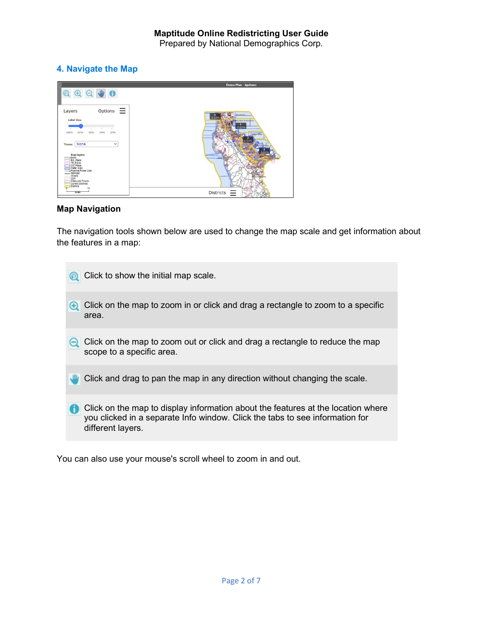Prepared by National Demographics Corp.

# 4. Navigate the Map

|                                                                                |                  | Demo Plan - kpdemo                       |
|--------------------------------------------------------------------------------|------------------|------------------------------------------|
|                                                                                | O(Q)             |                                          |
|                                                                                |                  |                                          |
| Layers                                                                         | Options $\equiv$ |                                          |
| Label Size                                                                     |                  | <b>Brishnan</b><br><b>h</b> San Francuco |
|                                                                                |                  | 2 2 3 %                                  |
| 50%<br>100%<br>65%                                                             | 35%<br>25%       | <b>Foster City</b>                       |
|                                                                                |                  |                                          |
| None<br>Theme                                                                  | $\ddotmark$      |                                          |
| Map layers                                                                     |                  | Half 5                                   |
| Block<br>BG Place<br>TR Place<br>CO Place<br>Water Area<br>Pipeline/Power Line |                  |                                          |
| -Rairoad                                                                       |                  |                                          |
| Streets<br>CDP                                                                 |                  |                                          |
| Cities and Towns<br>Current Districts<br><b>Districts</b>                      |                  |                                          |
| <b>MIES</b>                                                                    |                  | Districts<br>=                           |

## Map Navigation

The navigation tools shown below are used to change the map scale and get information about the features in a map:

| Click to show the initial map scale.                                                                                                                                                  |
|---------------------------------------------------------------------------------------------------------------------------------------------------------------------------------------|
| Click on the map to zoom in or click and drag a rectangle to zoom to a specific<br>area.                                                                                              |
| Click on the map to zoom out or click and drag a rectangle to reduce the map<br>scope to a specific area.                                                                             |
| Click and drag to pan the map in any direction without changing the scale.                                                                                                            |
| Click on the map to display information about the features at the location where<br>you clicked in a separate Info window. Click the tabs to see information for<br>different layers. |

You can also use your mouse's scroll wheel to zoom in and out.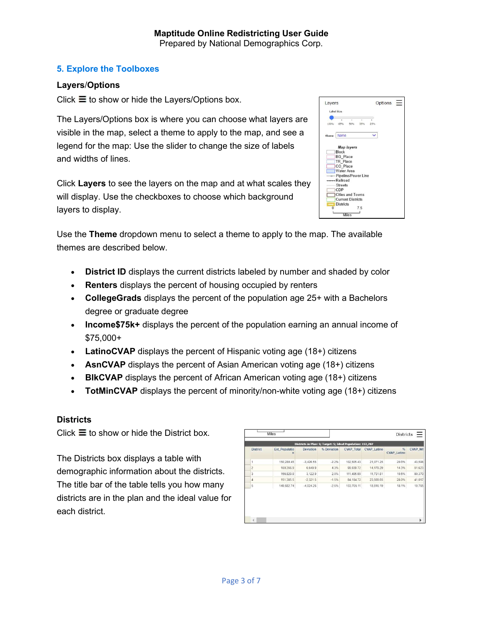## 5. Explore the Toolboxes

## Layers/Options

Click  $\equiv$  to show or hide the Layers/Options box.

The Layers/Options box is where you can choose what layers are visible in the map, select a theme to apply to the map, and see a legend for the map: Use the slider to change the size of labels and widths of lines.

Click Layers to see the layers on the map and at what scales they will display. Use the checkboxes to choose which background layers to display.

|       | 100% 65%                                            | 50% | ī<br>35% | 2.5%         |  |  |
|-------|-----------------------------------------------------|-----|----------|--------------|--|--|
| Theme | <b>None</b>                                         |     |          | $\checkmark$ |  |  |
|       | <b>Map layers</b>                                   |     |          |              |  |  |
|       | Block                                               |     |          |              |  |  |
|       |                                                     |     |          |              |  |  |
|       | <b>BG</b> Place                                     |     |          |              |  |  |
|       | TR Place                                            |     |          |              |  |  |
|       | CO Place                                            |     |          |              |  |  |
|       | <b>Water Area</b>                                   |     |          |              |  |  |
|       | - Pipeline/Power Line                               |     |          |              |  |  |
|       | $\rightarrow$ Railroad                              |     |          |              |  |  |
|       | <b>Streets</b>                                      |     |          |              |  |  |
|       | CDP                                                 |     |          |              |  |  |
|       | <b>Cities and Towns</b><br><b>Current Districts</b> |     |          |              |  |  |

Use the Theme dropdown menu to select a theme to apply to the map. The available themes are described below.

- District ID displays the current districts labeled by number and shaded by color
- Renters displays the percent of housing occupied by renters
- CollegeGrads displays the percent of the population age 25+ with a Bachelors degree or graduate degree
- Income\$75k+ displays the percent of the population earning an annual income of \$75,000+
- LatinoCVAP displays the percent of Hispanic voting age  $(18+)$  citizens
- AsnCVAP displays the percent of Asian American voting age (18+) citizens
- BIkCVAP displays the percent of African American voting age (18+) citizens
- TotMinCVAP displays the percent of minority/non-white voting age  $(18+)$  citizens

## **Districts**

Click  $\equiv$  to show or hide the District box.

The Districts box displays a table with demographic information about the districts. The title bar of the table tells you how many districts are in the plan and the ideal value for each district.

| <b>District</b>         | <b>Est Populatio</b><br>$\mathbf n$ | <b>Deviation</b> | % Deviation | <b>CVAP_Total</b> | <b>CVAP_Latino</b> | $\frac{9}{6}$<br><b>CVAP Latino</b> | <b>CVAP Wh</b> |
|-------------------------|-------------------------------------|------------------|-------------|-------------------|--------------------|-------------------------------------|----------------|
|                         | 150,280.45                          | $-3.426.55$      | $-2.2%$     | 102,505.43        | 21,071.25          | 20.6%                               | 43,598         |
| $\overline{c}$          | 160,356.9                           | 6,649.9          | 4.3%        | 99,039.72         | 14,179.29          | 14.3%                               | 51,623         |
| $\overline{\mathbf{3}}$ | 156,829.9                           | 3,122.9          | 2.0%        | 111,495.99        | 11,731.81          | 10.5%                               | 80,370         |
| $\overline{4}$          | 151,385.5                           | $-2,321.5$       | $-1.5%$     | 84, 184. 72       | 23.569.65          | 28.0%                               | 41,017         |
| 5                       | 149,682.74                          | $-4,024.26$      | $-2.6%$     | 103.705.11        | 18,816.19          | 18.1%                               | 19,765         |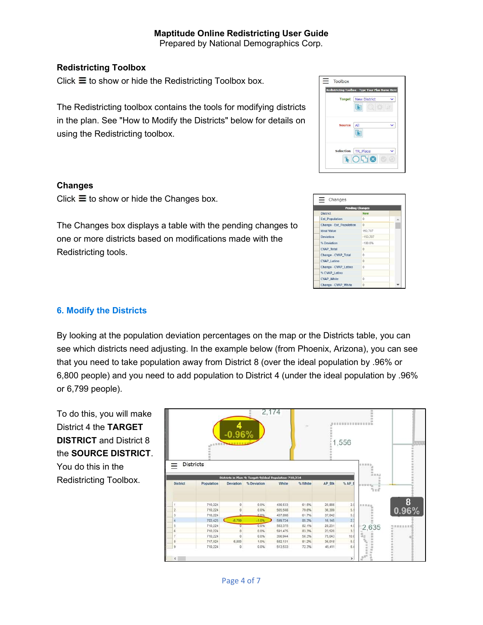## Redistricting Toolbox

Click  $\equiv$  to show or hide the Redistricting Toolbox box.

The Redistricting toolbox contains the tools for modifying districts in the plan. See "How to Modify the Districts" below for details on using the Redistricting toolbox.

#### Changes

Click  $\equiv$  to show or hide the Changes box.

The Changes box displays a table with the pending changes to one or more districts based on modifications made with the Redistricting tools.

# $\equiv$  Toolbox Redistricting Toolbox - Type Yo Target New District  $\blacksquare$  $\blacktriangleright$ Selection TR Place U  $\bullet$  050

| <b>Pending Changes</b>  |            |   |  |  |
|-------------------------|------------|---|--|--|
| <b>District</b>         | <b>New</b> |   |  |  |
| <b>Est Population</b>   | $\Omega$   | ▵ |  |  |
| Change - Est Population | $\Omega$   |   |  |  |
| <b>Ideal Value</b>      | 153,707    |   |  |  |
| <b>Deviation</b>        | $-153.707$ |   |  |  |
| % Deviation             | $-100.0%$  |   |  |  |
| <b>CVAP_Total</b>       | $\theta$   |   |  |  |
| Change - CVAP_Total     | $\theta$   |   |  |  |
| <b>CVAP_Latino</b>      | $\Omega$   |   |  |  |
| Change - CVAP Latino    | $\Omega$   |   |  |  |
| % CVAP Latino           |            |   |  |  |
| <b>CVAP White</b>       | $\Omega$   |   |  |  |
| Change - CVAP White     | $\theta$   |   |  |  |

### 6. Modify the Districts

By looking at the population deviation percentages on the map or the Districts table, you can see which districts need adjusting. In the example below (from Phoenix, Arizona), you can see that you need to take population away from District 8 (over the ideal population by .96% or 6,800 people) and you need to add population to District 4 (under the ideal population by .96% or 6,799 people).

To do this, you will make District 4 the TARGET DISTRICT and District 8 the SOURCE DISTRICT. You do this in the Redistricting Toolbox.

| Districts in Plan: 9; Target: 9; Ideal Population: 710,224<br>$S$ APE<br>% White<br>AP Blk<br>Population<br>Deviation<br>% Deviation<br>White<br>in to at to the<br>$\frac{1}{2} \pi r^2$<br>$\begin{array}{c} 8 \\ 0.96\% \end{array}$<br>710.224<br>o<br>0.0%<br>436,533<br>61.5%<br>20,866<br>2.5<br>追踪混血<br>5.1<br>0.0%<br>710,224<br>$\theta$<br>565,508<br>79.6%<br>36,389<br>$\Delta$<br>5.2<br>$0.0\%$<br>710,224<br>437,898<br>81.7%<br>37,042<br>2.5<br>703,425<br>$-6,799$<br>$-1.0%$<br>599,724<br>85.3%<br>16,145<br>0.0%<br>82.1%<br>$4.0$<br>3.3<br>710,224<br>583,375<br>28,231<br>2,635<br>$\sigma$<br>0.0%<br>591,475<br>83.3%<br>710,224<br>23,520<br>ō<br>ă,<br>10.6<br>0.0%<br>710,224<br>356,944<br>50.3%<br>75,043 | <b>Districts</b> | $-0.96%$ |  | 1,556 | 111112<br>i. |      |
|-------------------------------------------------------------------------------------------------------------------------------------------------------------------------------------------------------------------------------------------------------------------------------------------------------------------------------------------------------------------------------------------------------------------------------------------------------------------------------------------------------------------------------------------------------------------------------------------------------------------------------------------------------------------------------------------------------------------------------------------|------------------|----------|--|-------|--------------|------|
|                                                                                                                                                                                                                                                                                                                                                                                                                                                                                                                                                                                                                                                                                                                                           | <b>District</b>  |          |  |       |              |      |
|                                                                                                                                                                                                                                                                                                                                                                                                                                                                                                                                                                                                                                                                                                                                           |                  |          |  |       |              |      |
|                                                                                                                                                                                                                                                                                                                                                                                                                                                                                                                                                                                                                                                                                                                                           |                  |          |  |       |              |      |
|                                                                                                                                                                                                                                                                                                                                                                                                                                                                                                                                                                                                                                                                                                                                           |                  |          |  |       |              |      |
|                                                                                                                                                                                                                                                                                                                                                                                                                                                                                                                                                                                                                                                                                                                                           |                  |          |  |       |              |      |
|                                                                                                                                                                                                                                                                                                                                                                                                                                                                                                                                                                                                                                                                                                                                           |                  |          |  |       |              |      |
|                                                                                                                                                                                                                                                                                                                                                                                                                                                                                                                                                                                                                                                                                                                                           |                  |          |  |       |              | 放出放荡 |
|                                                                                                                                                                                                                                                                                                                                                                                                                                                                                                                                                                                                                                                                                                                                           |                  |          |  |       |              |      |
| 5.0<br>6,800<br>1.0%<br>717.024<br>582,131<br>81.2%<br>36,018                                                                                                                                                                                                                                                                                                                                                                                                                                                                                                                                                                                                                                                                             |                  |          |  |       |              |      |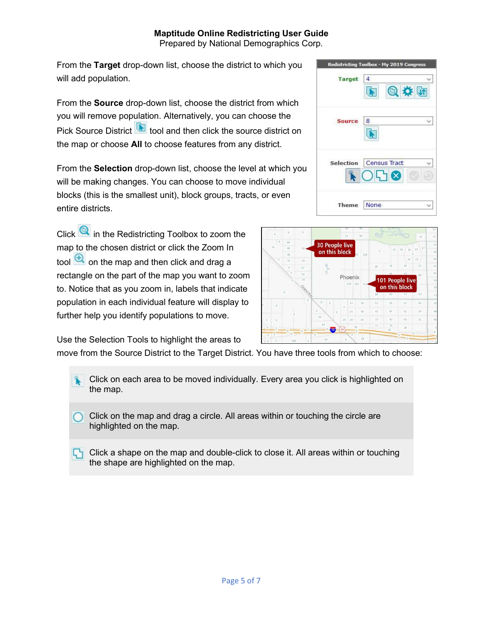# Maptitude Online Redistricting User Guide

Prepared by National Demographics Corp.

From the Target drop-down list, choose the district to which you will add population.

From the Source drop-down list, choose the district from which you will remove population. Alternatively, you can choose the Pick Source District **tool** and then click the source district on the map or choose All to choose features from any district.

From the Selection drop-down list, choose the level at which you will be making changes. You can choose to move individual blocks (this is the smallest unit), block groups, tracts, or even entire districts.

Click **Q** in the Redistricting Toolbox to zoom the map to the chosen district or click the Zoom In tool  $\bigoplus$  on the map and then click and drag a rectangle on the part of the map you want to zoom to. Notice that as you zoom in, labels that indicate population in each individual feature will display to further help you identify populations to move.





Use the Selection Tools to highlight the areas to

move from the Source District to the Target District. You have three tools from which to choose:

Click on each area to be moved individually. Every area you click is highlighted on the map.

Click on the map and drag a circle. All areas within or touching the circle are highlighted on the map.

Click a shape on the map and double-click to close it. All areas within or touching the shape are highlighted on the map.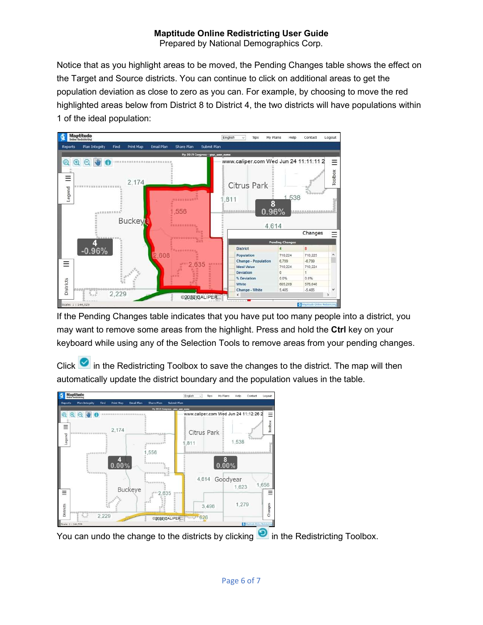# Maptitude Online Redistricting User Guide

Prepared by National Demographics Corp.

Notice that as you highlight areas to be moved, the Pending Changes table shows the effect on the Target and Source districts. You can continue to click on additional areas to get the population deviation as close to zero as you can. For example, by choosing to move the red highlighted areas below from District 8 to District 4, the two districts will have populations within 1 of the ideal population:



If the Pending Changes table indicates that you have put too many people into a district, you may want to remove some areas from the highlight. Press and hold the Ctrl key on your keyboard while using any of the Selection Tools to remove areas from your pending changes.

Click  $\Box$  in the Redistricting Toolbox to save the changes to the district. The map will then automatically update the district boundary and the population values in the table.



You can undo the change to the districts by clicking  $\bullet$  in the Redistricting Toolbox.